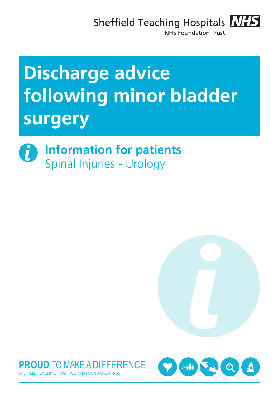Sheffield Teaching Hospitals **NHS** 



**NHS Foundation Trust** 

# **Discharge advice following minor bladder surgery**







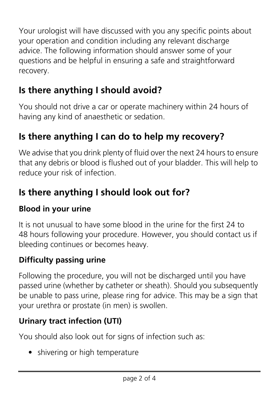Your urologist will have discussed with you any specific points about your operation and condition including any relevant discharge advice. The following information should answer some of your questions and be helpful in ensuring a safe and straightforward recovery.

## **Is there anything I should avoid?**

You should not drive a car or operate machinery within 24 hours of having any kind of anaesthetic or sedation.

## **Is there anything I can do to help my recovery?**

We advise that you drink plenty of fluid over the next 24 hours to ensure that any debris or blood is flushed out of your bladder. This will help to reduce your risk of infection.

## **Is there anything I should look out for?**

#### **Blood in your urine**

It is not unusual to have some blood in the urine for the first 24 to 48 hours following your procedure. However, you should contact us if bleeding continues or becomes heavy.

#### **Difficulty passing urine**

Following the procedure, you will not be discharged until you have passed urine (whether by catheter or sheath). Should you subsequently be unable to pass urine, please ring for advice. This may be a sign that your urethra or prostate (in men) is swollen.

## **Urinary tract infection (UTI)**

You should also look out for signs of infection such as:

• shivering or high temperature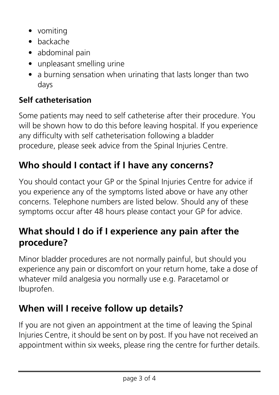- vomiting
- backache
- abdominal pain
- unpleasant smelling urine
- a burning sensation when urinating that lasts longer than two days

### **Self catheterisation**

Some patients may need to self catheterise after their procedure. You will be shown how to do this before leaving hospital. If you experience any difficulty with self catheterisation following a bladder procedure, please seek advice from the Spinal Injuries Centre.

## **Who should I contact if I have any concerns?**

You should contact your GP or the Spinal Injuries Centre for advice if you experience any of the symptoms listed above or have any other concerns. Telephone numbers are listed below. Should any of these symptoms occur after 48 hours please contact your GP for advice.

## **What should I do if I experience any pain after the procedure?**

Minor bladder procedures are not normally painful, but should you experience any pain or discomfort on your return home, take a dose of whatever mild analgesia you normally use e.g. Paracetamol or Ibuprofen.

## **When will I receive follow up details?**

If you are not given an appointment at the time of leaving the Spinal Injuries Centre, it should be sent on by post. If you have not received an appointment within six weeks, please ring the centre for further details.